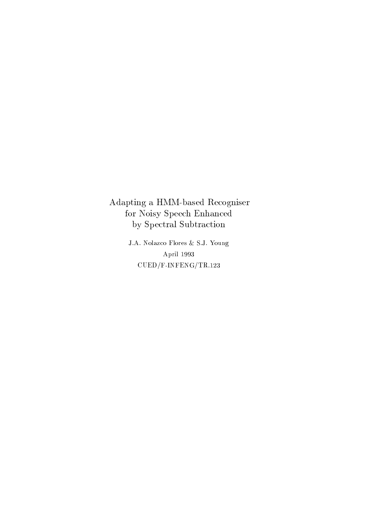Adapting a HMM-based Recogniser for Noisy Speech Enhanced by Spectral Subtraction

> J.A. Nolazco Flores & S.J. Young April 1993  $\rm CUED/F\mbox{-}INFENG/TR.123$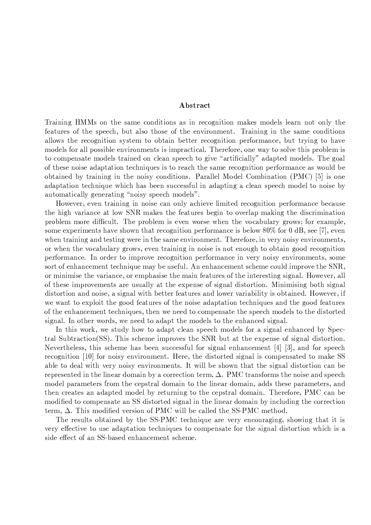# Abstract

Training HMMs on the same conditions as in recognition makes models learn not only the features of the speech, but also those of the environment. Training in the same conditions allows the recognition system to obtain better recognition performance, but trying to have models for all possible environments is impractical. Therefore, one way to solve this problem is to compensate models trained on clean speech to give "artificially" adapted models. The goal of these noise adaptation techniques is to reach the same recognition performance as would be obtained by training in the noisy conditions. Parallel Model Combination (PMC) [5] is one adaptation technique which has been successful in adapting a clean speech model to noise by automatically generating "noisy speech models".

However, even training in noise can only achieve limited recognition performance because the high variance at low SNR makes the features begin to overlap making the discrimination problem more difficult. The problem is even worse when the vocabulary grows; for example, some experiments have shown that recognition performance is below  $80\%$  for 0 dB, see [7], even when training and testing were in the same environment. Therefore, in very noisy environments, or when the vocabulary grows, even training in noise is not enough to obtain good recognition performance. In order to improve recognition performance in very noisy environments, some sort of enhancement technique may be useful. An enhancement scheme could improve the SNR, or minimise the variance, or emphasise the main features of the interesting signal. However, all of these improvements are usually at the expense of signal distortion. Minimising both signal distortion and noise, a signal with better features and lower variability is obtained. However, if we want to exploit the good features of the noise adaptation techniques and the good features of the enhancement techniques, then we need to compensate the speech models to the distorted signal. In other words, we need to adapt the models to the enhanced signal.

In this work, we study how to adapt clean speech models for a signal enhanced by Spectral Subtraction  $(SS)$ . This scheme improves the SNR but at the expense of signal distortion. Nevertheless, this scheme has been successful for signal enhancement  $[4]$   $[3]$ , and for speech recognition [10] for noisy environment. Here, the distorted signal is compensated to make SS able to deal with very noisy environments. It will be shown that the signal distortion can be represented in the linear domain by a correction term,  $\Delta$ . PMC transforms the noise and speech model parameters from the cepstral domain to the linear domain, adds these parameters, and then creates an adapted model by returning to the cepstral domain. Therefore, PMC can be modified to compensate an SS distorted signal in the linear domain by including the correction term,  $\Delta$ . This modified version of PMC will be called the SS-PMC method.

The results obtained by the SS-PMC technique are very encouraging, showing that it is very effective to use adaptation techniques to compensate for the signal distortion which is a side effect of an SS-based enhancement scheme.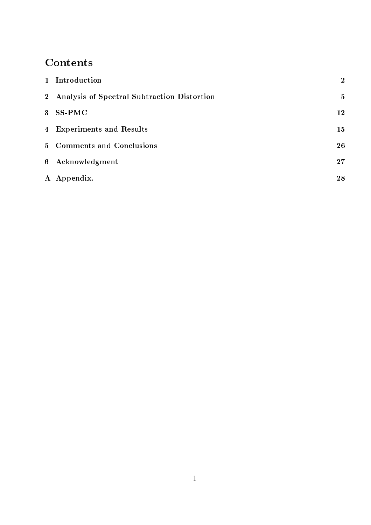# Contents

| 1 Introduction                                | $\overline{2}$ |
|-----------------------------------------------|----------------|
| 2 Analysis of Spectral Subtraction Distortion | $\mathbf{5}$   |
| 3 SS-PMC                                      | 12             |
| 4 Experiments and Results                     | 15             |
| 5 Comments and Conclusions                    | 26             |
| 6 Acknowledgment                              | 27             |
| A Appendix.                                   | 28             |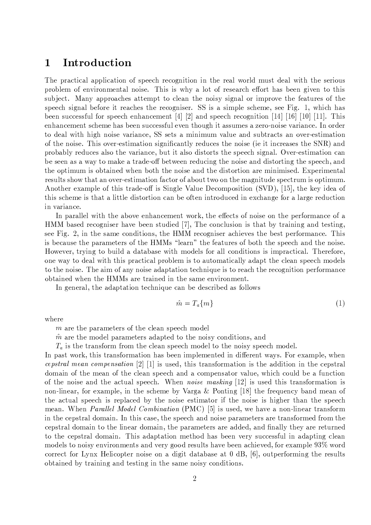#### Introduction  $\mathbf 1$

The practical application of speech recognition in the real world must deal with the serious problem of environmental noise. This is why a lot of research effort has been given to this subject. Many approaches attempt to clean the noisy signal or improve the features of the speech signal before it reaches the recogniser. SS is a simple scheme, see Fig. 1, which has been successful for speech enhancement [4] [2] and speech recognition [14] [16] [10] [11]. This enhancement scheme has been successful even though it assumes a zero-noise variance. In order to deal with high noise variance, SS sets a minimum value and subtracts an over-estimation of the noise. This over-estimation significantly reduces the noise (ie it increases the SNR) and probably reduces also the variance, but it also distorts the speech signal. Over-estimation can be seen as a way to make a trade-off between reducing the noise and distorting the speech, and the optimum is obtained when both the noise and the distortion are minimised. Experimental results show that an over-estimation factor of about two on the magnitude spectrum is optimum. Another example of this trade-off is Single Value Decomposition (SVD), [15], the key idea of this scheme is that a little distortion can be often introduced in exchange for a large reduction in variance.

In parallel with the above enhancement work, the effects of noise on the performance of a HMM based recogniser have been studied [7], The conclusion is that by training and testing, see Fig. 2, in the same conditions, the HMM recogniser achieves the best performance. This is because the parameters of the HMMs "learn" the features of both the speech and the noise. However, trying to build a database with models for all conditions is impractical. Therefore, one way to deal with this practical problem is to automatically adapt the clean speech models to the noise. The aim of any noise adaptation technique is to reach the recognition performance obtained when the HMMs are trained in the same environment.

In general, the adaptation technique can be described as follows

$$
\hat{m} = T_a \{ m \} \tag{1}
$$

where

m are the parameters of the clean speech model

 $\hat{m}$  are the model parameters adapted to the noisy conditions, and

 $T_a$  is the transform from the clean speech model to the noisy speech model.

In past work, this transformation has been implemented in different ways. For example, when cepstral mean compensation  $[2]$  [1] is used, this transformation is the addition in the cepstral domain of the mean of the clean speech and a compensator value, which could be a function of the noise and the actual speech. When *noise masking* [12] is used this transformation is non-linear, for example, in the scheme by Varga & Ponting [18] the frequency band mean of the actual speech is replaced by the noise estimator if the noise is higher than the speech mean. When Parallel Model Combination (PMC) [5] is used, we have a non-linear transform in the cepstral domain. In this case, the speech and noise parameters are transformed from the cepstral domain to the linear domain, the parameters are added, and finally they are returned to the cepstral domain. This adaptation method has been very successful in adapting clean models to noisy environments and very good results have been achieved, for example 93% word correct for Lynx Helicopter noise on a digit database at  $0$  dB, [6], outperforming the results obtained by training and testing in the same noisy conditions.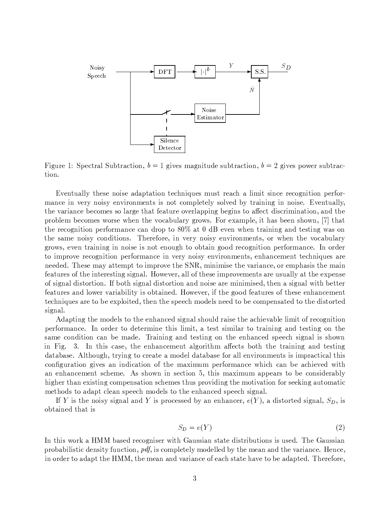

Figure 1: Spectral Subtraction,  $b = 1$  gives magnitude subtraction,  $b = 2$  gives power subtraction.

Eventually these noise adaptation techniques must reach a limit since recognition performance in very noisy environments is not completely solved by training in noise. Eventually, the variance becomes so large that feature overlapping begins to affect discrimination, and the problem becomes worse when the vocabulary grows. For example, it has been shown, [7] that the recognition performance can drop to  $80\%$  at 0 dB even when training and testing was on the same noisy conditions. Therefore, in very noisy environments, or when the vocabulary grows, even training in noise is not enough to obtain good recognition performance. In order to improve recognition performance in very noisy environments, enhancement techniques are needed. These may attempt to improve the SNR, minimise the variance, or emphasis the main features of the interesting signal. However, all of these improvements are usually at the expense of signal distortion. If both signal distortion and noise are minimised, then a signal with better features and lower variability is obtained. However, if the good features of these enhancement techniques are to be exploited, then the speech models need to be compensated to the distorted signal.

Adapting the models to the enhanced signal should raise the achievable limit of recognition performance. In order to determine this limit, a test similar to training and testing on the same condition can be made. Training and testing on the enhanced speech signal is shown in Fig. 3. In this case, the enhancement algorithm affects both the training and testing database. Although, trying to create a model database for all environments is impractical this configuration gives an indication of the maximum performance which can be achieved with an enhancement scheme. As shown in section 5, this maximum appears to be considerably higher than existing compensation schemes thus providing the motivation for seeking automatic methods to adapt clean speech models to the enhanced speech signal.

If Y is the noisy signal and Y is processed by an enhancer,  $e(Y)$ , a distorted signal,  $S_D$ , is obtained that is

$$
S_D = e(Y) \tag{2}
$$

In this work a HMM based recogniser with Gaussian state distributions is used. The Gaussian probabilistic density function,  $pdf$ , is completely modelled by the mean and the variance. Hence, in order to adapt the HMM, the mean and variance of each state have to be adapted. Therefore,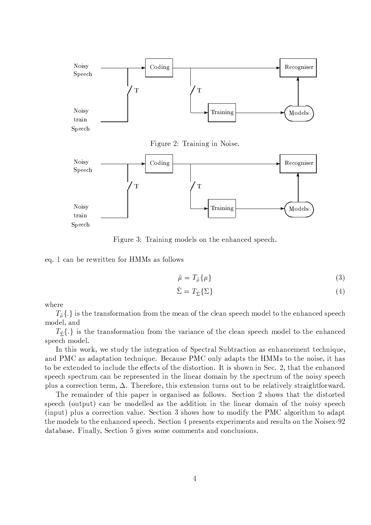

Speech

Figure 3: Training models on the enhanced speech.

eq. 1 can be rewritten for HMMs as follows

$$
\hat{\mu} = T_{\hat{\mu}} \{ \mu \} \tag{3}
$$

$$
\hat{\Sigma} = T_{\hat{\Sigma}} \{ \Sigma \}
$$
\n<sup>(4)</sup>

where

 $T_{\hat{\mu}}\{.\}$  is the transformation from the mean of the clean speech model to the enhanced speech model, and

 $T_{\hat{\sigma}}\{.\}\$ is the transformation from the variance of the clean speech model to the enhanced speech model.

In this work, we study the integration of Spectral Subtraction as enhancement technique, and PMC as adaptation technique. Because PMC only adapts the HMMs to the noise, it has to be extended to include the effects of the distortion. It is shown in Sec. 2, that the enhanced speech spectrum can be represented in the linear domain by the spectrum of the noisy speech plus a correction term,  $\Delta$ . Therefore, this extension turns out to be relatively straightforward.

The remainder of this paper is organised as follows. Section 2 shows that the distorted speech (output) can be modelled as the addition in the linear domain of the noisy speech (input) plus a correction value. Section 3 shows how to modify the PMC algorithm to adapt the models to the enhanced speech. Section 4 presents experiments and results on the Noisex-92 database. Finally, Section 5 gives some comments and conclusions.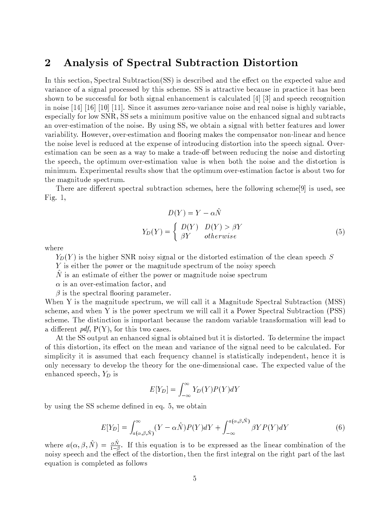#### $\overline{2}$ Analysis of Spectral Subtraction Distortion

In this section, Spectral Subtraction (SS) is described and the effect on the expected value and variance of a signal processed by this scheme. SS is attractive because in practice it has been shown to be successful for both signal enhancement is calculated [4] [3] and speech recognition in noise [14] [16] [10] [11]. Since it assumes zero-variance noise and real noise is highly variable, especially for low SNR, SS sets a minimum positive value on the enhanced signal and subtracts an over-estimation of the noise. By using SS, we obtain a signal with better features and lower variability. However, over-estimation and flooring makes the compensator non-linear and hence the noise level is reduced at the expense of introducing distortion into the speech signal. Overestimation can be seen as a way to make a trade-off between reducing the noise and distorting the speech, the optimum over-estimation value is when both the noise and the distortion is minimum. Experimental results show that the optimum over-estimation factor is about two for the magnitude spectrum.

There are different spectral subtraction schemes, here the following scheme<sup>[9]</sup> is used, see Fig.  $1$ ,

$$
D(Y) = Y - \alpha \hat{N}
$$
  
\n
$$
Y_D(Y) = \begin{cases} D(Y) & D(Y) > \beta Y \\ \beta Y & otherwise \end{cases}
$$
 (5)

where

 $Y_D(Y)$  is the higher SNR noisy signal or the distorted estimation of the clean speech S

 $Y$  is either the power or the magnitude spectrum of the noisy speech

 $\tilde{N}$  is an estimate of either the power or magnitude noise spectrum

 $\alpha$  is an over-estimation factor, and

 $\beta$  is the spectral flooring parameter.

When Y is the magnitude spectrum, we will call it a Magnitude Spectral Subtraction (MSS) scheme, and when Y is the power spectrum we will call it a Power Spectral Subtraction (PSS) scheme. The distinction is important because the random variable transformation will lead to a different *pdf*,  $P(Y)$ , for this two cases.

At the SS output an enhanced signal is obtained but it is distorted. To determine the impact of this distortion, its effect on the mean and variance of the signal need to be calculated. For simplicity it is assumed that each frequency channel is statistically independent, hence it is only necessary to develop the theory for the one-dimensional case. The expected value of the enhanced speech,  $Y_D$  is

$$
E[Y_D] = \int_{-\infty}^{\infty} Y_D(Y)P(Y)dY
$$

by using the SS scheme defined in eq. 5, we obtain

$$
E[Y_D] = \int_{a(\alpha,\beta,\hat{N})}^{\infty} (Y - \alpha \hat{N}) P(Y) dY + \int_{-\infty}^{a(\alpha,\beta,\hat{N})} \beta Y P(Y) dY
$$
(6)

where  $a(\alpha, \beta, \hat{N}) = \frac{\alpha \hat{N}}{1-\beta}$ . If this equation is to be expressed as the linear combination of the noisy speech and the effect of the distortion, then the first integral on the right part of the last equation is completed as follows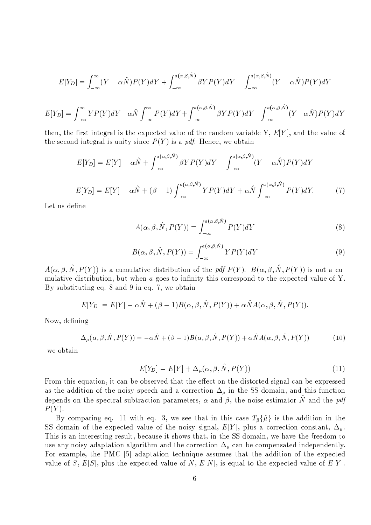$$
E[Y_D] = \int_{-\infty}^{\infty} (Y - \alpha \hat{N}) P(Y) dY + \int_{-\infty}^{a(\alpha,\beta,\hat{N})} \beta Y P(Y) dY - \int_{-\infty}^{a(\alpha,\beta,\hat{N})} (Y - \alpha \hat{N}) P(Y) dY
$$

$$
E[Y_D] = \int_{-\infty}^{\infty} YP(Y)dY - \alpha \hat{N} \int_{-\infty}^{\infty} P(Y)dY + \int_{-\infty}^{a(\alpha,\beta,\hat{N})} \beta YP(Y)dY - \int_{-\infty}^{a(\alpha,\beta,\hat{N})} (Y-\alpha \hat{N})P(Y)dY
$$

then, the first integral is the expected value of the random variable Y,  $E[Y]$ , and the value of the second integral is unity since  $P(Y)$  is a pdf. Hence, we obtain

$$
E[Y_D] = E[Y] - \alpha \hat{N} + \int_{-\infty}^{a(\alpha,\beta,\hat{N})} \beta Y P(Y) dY - \int_{-\infty}^{a(\alpha,\beta,\hat{N})} (Y - \alpha \hat{N}) P(Y) dY
$$
  

$$
E[Y_D] = E[Y] - \alpha \hat{N} + (\beta - 1) \int_{-\infty}^{a(\alpha,\beta,\hat{N})} Y P(Y) dY + \alpha \hat{N} \int_{-\infty}^{a(\alpha,\beta,\hat{N})} P(Y) dY.
$$
 (7)

Let us define

$$
A(\alpha, \beta, \hat{N}, P(Y)) = \int_{-\infty}^{a(\alpha, \beta, \hat{N})} P(Y) dY
$$
\n(8)

$$
B(\alpha, \beta, \hat{N}, P(Y)) = \int_{-\infty}^{a(\alpha, \beta, \hat{N})} Y P(Y) dY
$$
\n(9)

 $A(\alpha, \beta, \hat{N}, P(Y))$  is a cumulative distribution of the pdf  $P(Y)$ .  $B(\alpha, \beta, \hat{N}, P(Y))$  is not a cumulative distribution, but when  $a$  goes to infinity this correspond to the expected value of Y. By substituting eq. 8 and 9 in eq. 7, we obtain

$$
E[Y_D] = E[Y] - \alpha \hat{N} + (\beta - 1)B(\alpha, \beta, \hat{N}, P(Y)) + \alpha \hat{N}A(\alpha, \beta, \hat{N}, P(Y)).
$$

Now, defining

$$
\Delta_{\mu}(\alpha,\beta,\hat{N},P(Y)) = -\alpha\hat{N} + (\beta - 1)B(\alpha,\beta,\hat{N},P(Y)) + \alpha\hat{N}A(\alpha,\beta,\hat{N},P(Y))
$$
(10)

we obtain

$$
E[Y_D] = E[Y] + \Delta_{\mu}(\alpha, \beta, \hat{N}, P(Y))
$$
\n<sup>(11)</sup>

From this equation, it can be observed that the effect on the distorted signal can be expressed as the addition of the noisy speech and a correction  $\Delta_{\mu}$  in the SS domain, and this function depends on the spectral subtraction parameters,  $\alpha$  and  $\beta$ , the noise estimator  $\hat{N}$  and the pdf  $P(Y)$ .

By comparing eq. 11 with eq. 3, we see that in this case  $T_{\hat{\mu}}\{\hat{\mu}\}\$ is the addition in the SS domain of the expected value of the noisy signal,  $E[Y]$ , plus a correction constant,  $\Delta_{\mu}$ . This is an interesting result, because it shows that, in the SS domain, we have the freedom to use any noisy adaptation algorithm and the correction  $\Delta_{\mu}$  can be compensated independently. For example, the PMC [5] adaptation technique assumes that the addition of the expected value of S, E[S], plus the expected value of N, E[N], is equal to the expected value of E[Y].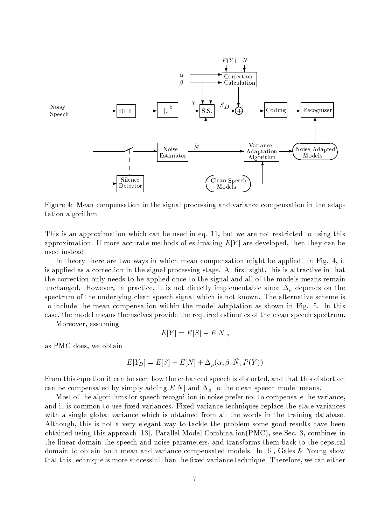

Figure 4: Mean compensation in the signal processing and variance compensation in the adaptation algorithm.

This is an approximation which can be used in eq. 11, but we are not restricted to using this approximation. If more accurate methods of estimating  $E[Y]$  are developed, then they can be used instead.

In theory there are two ways in which mean compensation might be applied. In Fig. 4, it is applied as a correction in the signal processing stage. At first sight, this is attractive in that the correction only needs to be applied once to the signal and all of the models means remain unchanged. However, in practice, it is not directly implementable since  $\Delta_{\mu}$  depends on the spectrum of the underlying clean speech signal which is not known. The alternative scheme is to include the mean compensation within the model adaptation as shown in Fig. 5. In this case, the model means themselves provide the required estimates of the clean speech spectrum.

Moreover, assuming

$$
E[Y] = E[S] + E[N],
$$

as PMC does, we obtain

$$
E[Y_D] = E[S] + E[N] + \Delta_u(\alpha, \beta, \hat{N}, P(Y))
$$

From this equation it can be seen how the enhanced speech is distorted, and that this distortion can be compensated by simply adding  $E[N]$  and  $\Delta_{\mu}$  to the clean speech model means.

Most of the algorithms for speech recognition in noise prefer not to compensate the variance, and it is common to use fixed variances. Fixed variance techniques replace the state variances with a single global variance which is obtained from all the words in the training database. Although, this is not a very elegant way to tackle the problem some good results have been obtained using this approach [13]. Parallel Model Combination  $(PMC)$ , see Sec. 3, combines in the linear domain the speech and noise parameters, and transforms them back to the cepstral domain to obtain both mean and variance compensated models. In [6], Gales & Young show that this technique is more successful than the fixed variance technique. Therefore, we can either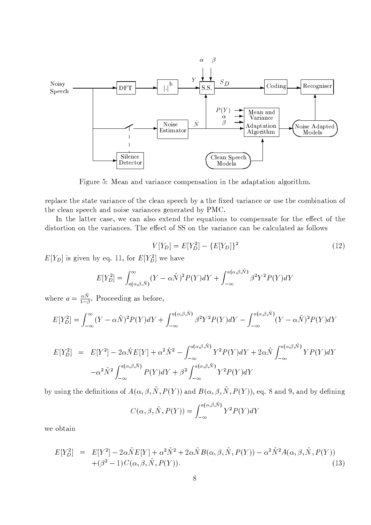

Figure 5: Mean and variance compensation in the adaptation algorithm.

replace the state variance of the clean speech by a the fixed variance or use the combination of the clean speech and noise variances generated by PMC.

In the latter case, we can also extend the equations to compensate for the effect of the distortion on the variances. The effect of SS on the variance can be calculated as follows

$$
V[Y_D] = E[Y_D^2] - \{E[Y_D]\}^2
$$
\n(12)

 $E[Y_D]$  is given by eq. 11, for  $E[Y_D^2]$  we have

$$
E[Y_D^2] = \int_{a(\alpha,\beta,\hat{N})}^{\infty} (Y - \alpha \hat{N})^2 P(Y) dY + \int_{-\infty}^{a(\alpha,\beta,\hat{N})} \beta^2 Y^2 P(Y) dY
$$

where  $a = \frac{\alpha \hat{N}}{1 - \beta}$ . Proceeding as before,

$$
E[Y_D^2] = \int_{-\infty}^{\infty} (Y - \alpha \hat{N})^2 P(Y) dY + \int_{-\infty}^{a(\alpha,\beta,\hat{N})} \beta^2 Y^2 P(Y) dY - \int_{-\infty}^{a(\alpha,\beta,\hat{N})} (Y - \alpha \hat{N})^2 P(Y) dY
$$

$$
E[Y_D^2] = E[Y^2] - 2\alpha \hat{N}E[Y] + \alpha^2 \hat{N}^2 - \int_{-\infty}^{a(\alpha,\beta,\hat{N})} Y^2 P(Y)dY + 2\alpha \hat{N} \int_{-\infty}^{a(\alpha,\beta,\hat{N})} Y P(Y)dY
$$

$$
-\alpha^2 \hat{N}^2 \int_{-\infty}^{a(\alpha,\beta,\hat{N})} P(Y)dY + \beta^2 \int_{-\infty}^{a(\alpha,\beta,\hat{N})} Y^2 P(Y)dY
$$

by using the definitions of  $A(\alpha, \beta, \hat{N}, P(Y))$  and  $B(\alpha, \beta, \hat{N}, P(Y))$ , eq. 8 and 9, and by defining

$$
C(\alpha, \beta, \hat{N}, P(Y)) = \int_{-\infty}^{a(\alpha, \beta, \hat{N})} Y^2 P(Y) dY
$$

we obtain

$$
E[Y_D^2] = E[Y^2] - 2\alpha \hat{N} E[Y] + \alpha^2 \hat{N}^2 + 2\alpha \hat{N} B(\alpha, \beta, \hat{N}, P(Y)) - \alpha^2 \hat{N}^2 A(\alpha, \beta, \hat{N}, P(Y)) + (\beta^2 - 1) C(\alpha, \beta, \hat{N}, P(Y)).
$$
\n(13)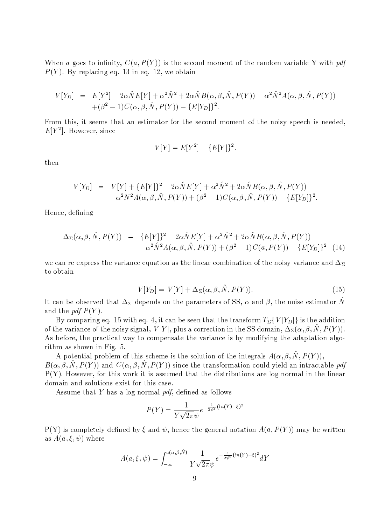When a goes to infinity,  $C(a, P(Y))$  is the second moment of the random variable Y with pdf  $P(Y)$ . By replacing eq. 13 in eq. 12, we obtain

$$
V[Y_D] = E[Y^2] - 2\alpha \hat{N}E[Y] + \alpha^2 \hat{N}^2 + 2\alpha \hat{N}B(\alpha, \beta, \hat{N}, P(Y)) - \alpha^2 \hat{N}^2 A(\alpha, \beta, \hat{N}, P(Y)) + (\beta^2 - 1)C(\alpha, \beta, \hat{N}, P(Y)) - \{E[Y_D]\}^2.
$$

From this, it seems that an estimator for the second moment of the noisy speech is needed,  $E[Y^2]$ . However, since

$$
V[Y] = E[Y^2] - \{E[Y]\}^2.
$$

then

$$
V[Y_D] = V[Y] + \{E[Y]\}^2 - 2\alpha \hat{N} E[Y] + \alpha^2 \hat{N}^2 + 2\alpha \hat{N} B(\alpha, \beta, \hat{N}, P(Y)) -\alpha^2 N^2 A(\alpha, \beta, \hat{N}, P(Y)) + (\beta^2 - 1) C(\alpha, \beta, \hat{N}, P(Y)) - \{E[Y_D]\}^2.
$$

Hence, defining

$$
\Delta_{\Sigma}(\alpha, \beta, \hat{N}, P(Y)) = \{E[Y]\}^2 - 2\alpha \hat{N}E[Y] + \alpha^2 \hat{N}^2 + 2\alpha \hat{N}B(\alpha, \beta, \hat{N}, P(Y)) \n- \alpha^2 \hat{N}^2 A(\alpha, \beta, \hat{N}, P(Y)) + (\beta^2 - 1)C(a, P(Y)) - \{E[Y_D]\}^2
$$
(14)

we can re-express the variance equation as the linear combination of the noisy variance and  $\Delta_{\Sigma}$ to obtain

$$
V[Y_D] = V[Y] + \Delta_{\Sigma}(\alpha, \beta, N, P(Y)).
$$
\n
$$
(15)
$$

It can be observed that  $\Delta_{\Sigma}$  depends on the parameters of SS,  $\alpha$  and  $\beta$ , the noise estimator  $\hat{N}$ and the *pdf P(Y)*.

By comparing eq. 15 with eq. 4, it can be seen that the transform  $T_{\Sigma} \{V|Y_D|\}$  is the addition of the variance of the noisy signal,  $V[Y]$ , plus a correction in the SS domain,  $\Delta_{\Sigma}(\alpha, \beta, N, P(Y))$ . As before, the practical way to compensate the variance is by modifying the adaptation algorithm as shown in Fig. 5.

A potential problem of this scheme is the solution of the integrals  $A(\alpha, \beta, \hat{N}, P(Y))$ ,  $B(\alpha, \beta, N, P(Y))$  and  $C(\alpha, \beta, N, P(Y))$  since the transformation could yield an intractable pdf  $P(Y)$ . However, for this work it is assumed that the distributions are log normal in the linear domain and solutions exist for this case.

Assume that Y has a log normal pdf, defined as follows

$$
P(Y) = \frac{1}{Y\sqrt{2\pi}\psi}e^{-\frac{1}{2\psi^2}(ln(Y)-\xi)^2}
$$

 $P(Y)$  is completely defined by  $\xi$  and  $\psi$ , hence the general notation  $A(a, P(Y))$  may be written as  $A(a,\xi,\psi)$  where

$$
A(a,\xi,\psi) = \int_{-\infty}^{a(\alpha,\beta,\hat{N})} \frac{1}{Y\sqrt{2\pi}\psi} e^{-\frac{1}{2\psi^2}(\ln(Y)-\xi)^2} dY
$$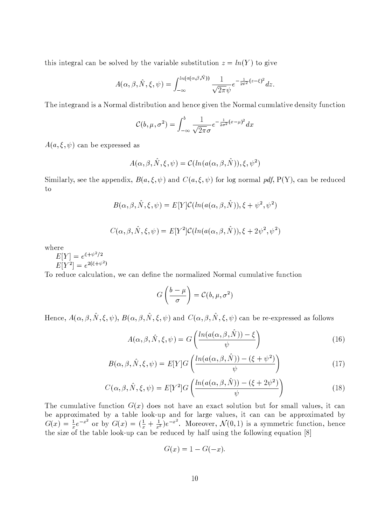this integral can be solved by the variable substitution  $z = ln(Y)$  to give

$$
A(\alpha,\beta,\hat{N},\xi,\psi)=\int_{-\infty}^{ln(a(\alpha,\beta,\hat{N}))}\frac{1}{\sqrt{2\pi}\psi}e^{-\frac{1}{2\psi^2}(z-\xi)^2}dz
$$

The integrand is a Normal distribution and hence given the Normal cumulative density function

$$
\mathcal{C}(b,\mu,\sigma^2) = \int_{-\infty}^{b} \frac{1}{\sqrt{2\pi}\sigma} e^{-\frac{1}{2\sigma^2}(x-\mu)^2} dx
$$

 $A(a,\xi,\psi)$  can be expressed as

$$
A(\alpha, \beta, \hat{N}, \xi, \psi) = \mathcal{C}(ln(a(\alpha, \beta, \hat{N})), \xi, \psi^2)
$$

Similarly, see the appendix,  $B(a,\xi,\psi)$  and  $C(a,\xi,\psi)$  for log normal pdf, P(Y), can be reduced to

$$
B(\alpha, \beta, \hat{N}, \xi, \psi) = E[Y]C(ln(a(\alpha, \beta, \hat{N})), \xi + \psi^2, \psi^2)
$$

 $C(\alpha, \beta, \hat{N}, \xi, \psi) = E[Y^2]C(ln(a(\alpha, \beta, \hat{N})), \xi + 2\psi^2, \psi^2)$ 

where

 $E[Y] = e^{\xi + \psi^2/2}$ <br> $E[Y^2] = e^{2(\xi + \psi^2)}$ 

To reduce calculation, we can define the normalized Normal cumulative function

$$
G\left(\frac{b-\mu}{\sigma}\right) = \mathcal{C}(b,\mu,\sigma^2)
$$

Hence,  $A(\alpha, \beta, \hat{N}, \xi, \psi)$ ,  $B(\alpha, \beta, \hat{N}, \xi, \psi)$  and  $C(\alpha, \beta, \hat{N}, \xi, \psi)$  can be re-expressed as follows

$$
A(\alpha, \beta, \hat{N}, \xi, \psi) = G\left(\frac{\ln(a(\alpha, \beta, \hat{N})) - \xi}{\psi}\right)
$$
(16)

$$
B(\alpha, \beta, \hat{N}, \xi, \psi) = E[Y]G\left(\frac{\ln(a(\alpha, \beta, \hat{N})) - (\xi + \psi^2)}{\psi}\right)
$$
(17)

$$
C(\alpha, \beta, \hat{N}, \xi, \psi) = E[Y^2]G\left(\frac{\ln(a(\alpha, \beta, \hat{N})) - (\xi + 2\psi^2)}{\psi}\right)
$$
(18)

The cumulative function  $G(x)$  does not have an exact solution but for small values, it can be approximated by a table look-up and for large values, it can can be approximated by  $G(x) = \frac{1}{x}e^{-x^2}$  or by  $G(x) = (\frac{1}{x} + \frac{1}{x^3})e^{-x^2}$ . Moreover,  $\mathcal{N}(0,1)$  is a symmetric function, hence the size of the table l

$$
G(x) = 1 - G(-x)
$$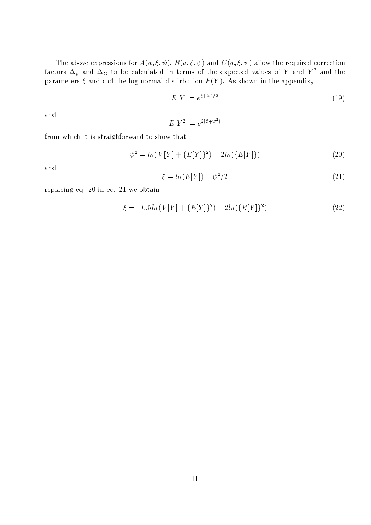The above expressions for  $A(a,\xi,\psi), B(a,\xi,\psi)$  and  $C(a,\xi,\psi)$  allow the required correction factors  $\Delta_{\mu}$  and  $\Delta_{\Sigma}$  to be calculated in terms of the expected values of Y and Y<sup>2</sup> and the parameters  $\xi$  and  $\epsilon$  of the log normal distirbution  $P(Y)$ . As shown in the appendix,

$$
E[Y] = e^{\xi + \psi^2/2} \tag{19}
$$

and

$$
E[Y^2] = e^{2(\xi + \psi^2)}
$$

from which it is straighforward to show that

$$
\psi^2 = \ln(V[Y] + \{E[Y]\}^2) - 2\ln(\{E[Y]\})\tag{20}
$$

and

$$
\xi = \ln(E[Y]) - \psi^2/2 \tag{21}
$$

replacing eq. 20 in eq. 21 we obtain

$$
\xi = -0.5ln(V[Y] + \{E[Y]\}^2) + 2ln(\{E[Y]\}^2)
$$
\n(22)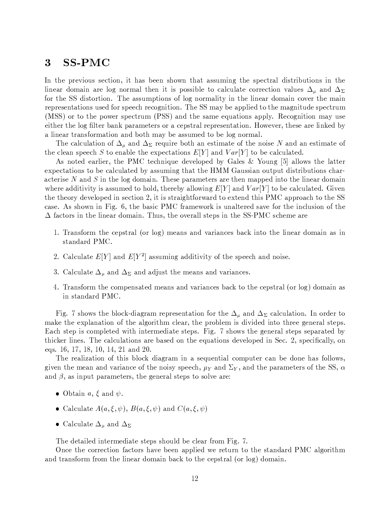#### 3 **SS-PMC**

In the previous section, it has been shown that assuming the spectral distributions in the linear domain are log normal then it is possible to calculate correction values  $\Delta_{\mu}$  and  $\Delta_{\Sigma}$ for the SS distortion. The assumptions of log normality in the linear domain cover the main representations used for speech recognition. The SS may be applied to the magnitude spectrum (MSS) or to the power spectrum (PSS) and the same equations apply. Recognition may use either the log filter bank parameters or a cepstral representation. However, these are linked by a linear transformation and both may be assumed to be log normal.

The calculation of  $\Delta_{\mu}$  and  $\Delta_{\Sigma}$  require both an estimate of the noise N and an estimate of the clean speech S to enable the expectations  $E[Y]$  and  $Var[Y]$  to be calculated.

As noted earlier, the PMC technique developed by Gales & Young [5] allows the latter expectations to be calculated by assuming that the HMM Gaussian output distributions characterise N and S in the log domain. These parameters are then mapped into the linear domain where additivity is assumed to hold, thereby allowing  $E[Y]$  and  $Var[Y]$  to be calculated. Given the theory developed in section 2, it is straightforward to extend this PMC approach to the SS case. As shown in Fig. 6, the basic PMC framework is unaltered save for the inclusion of the  $\Delta$  factors in the linear domain. Thus, the overall steps in the SS-PMC scheme are

- 1. Transform the cepstral (or log) means and variances back into the linear domain as in standard PMC.
- 2. Calculate  $E[Y]$  and  $E[Y^2]$  assuming additivity of the speech and noise.
- 3. Calculate  $\Delta_{\mu}$  and  $\Delta_{\Sigma}$  and adjust the means and variances.
- 4. Transform the compensated means and variances back to the cepstral (or log) domain as in standard PMC.

Fig. 7 shows the block-diagram representation for the  $\Delta_{\mu}$  and  $\Delta_{\Sigma}$  calculation. In order to make the explanation of the algorithm clear, the problem is divided into three general steps. Each step is completed with intermediate steps. Fig. 7 shows the general steps separated by thicker lines. The calculations are based on the equations developed in Sec. 2, specifically, on eqs. 16, 17, 18, 10, 14, 21 and 20.

The realization of this block diagram in a sequential computer can be done has follows, given the mean and variance of the noisy speech,  $\mu_Y$  and  $\Sigma_Y$ , and the parameters of the SS,  $\alpha$ and  $\beta$ , as input parameters, the general steps to solve are:

- Obtain a,  $\xi$  and  $\psi$ .
- Calculate  $A(a,\xi,\psi), B(a,\xi,\psi)$  and  $C(a,\xi,\psi)$
- Calculate  $\Delta_{\mu}$  and  $\Delta_{\Sigma}$

The detailed intermediate steps should be clear from Fig. 7.

Once the correction factors have been applied we return to the standard PMC algorithm and transform from the linear domain back to the cepstral (or log) domain.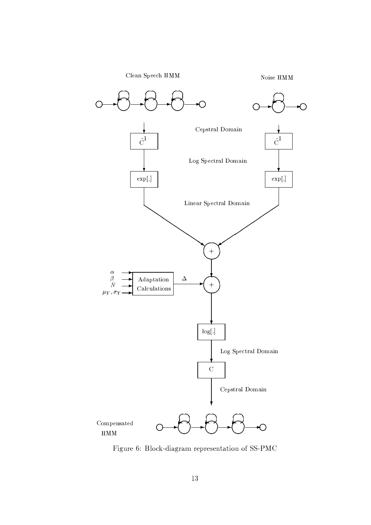

Figure 6: Block-diagram representation of SS-PMC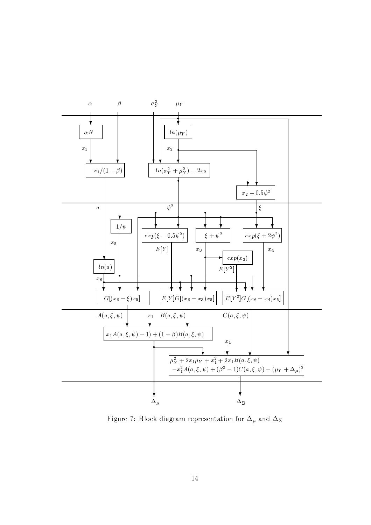

Figure 7: Block-diagram representation for  $\Delta_{\mu}$  and  $\Delta_{\Sigma}$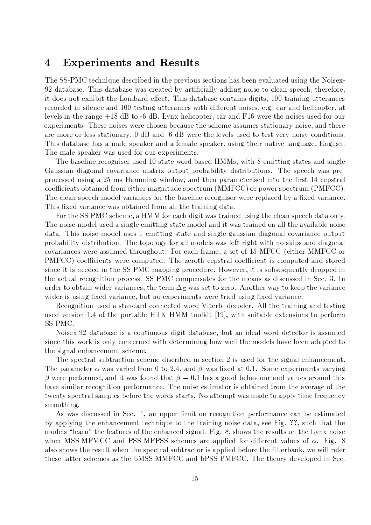#### **Experiments and Results**  $\overline{4}$

The SS-PMC technique described in the previous sections has been evaluated using the Noisex-92 database. This database was created by artificially adding noise to clean speech, therefore, it does not exhibit the Lombard effect. This database contains digits, 100 training utterances recorded in silence and 100 testing utterances with different noises, e.g. car and helicopter, at levels in the range  $+18$  dB to  $-6$  dB. Lynx helicopter, car and F16 were the noises used for our experiments. These noises were chosen because the scheme assumes stationary noise, and these are more or less stationary.  $0$  dB and  $-6$  dB were the levels used to test very noisy conditions. This database has a male speaker and a female speaker, using their native language, English. The male speaker was used for our experiments.

The baseline recogniser used 10 state word-based HMMs, with 8 emitting states and single Gaussian diagonal covariance matrix output probability distributions. The speech was preprocessed using a 25 ms Hamming window, and then parameterised into the first 14 cepstral coefficients obtained from either magnitude spectrum (MMFCC) or power spectrum (PMFCC). The clean speech model variances for the baseline recogniser were replaced by a fixed-variance. This fixed-variance was obtained from all the training data.

For the SS-PMC scheme, a HMM for each digit was trained using the clean speech data only. The noise model used a single emitting state model and it was trained on all the available noise data. This noise model uses 1 emitting state and single gaussian diagonal covariance output probability distribution. The topology for all models was left-right with no skips and diagonal covariances were assumed throughout. For each frame, a set of 15 MFCC (either MMFCC or PMFCC) coefficients were computed. The zeroth cepstral coefficient is computed and stored since it is needed in the SS-PMC mapping procedure. However, it is subsessuently dropped in the actual recognition process. SS-PMC compensates for the means as discussed in Sec. 3. In order to obtain wider variances, the term  $\Delta_{\Sigma}$  was set to zero. Another way to keep the variance wider is using fixed-variance, but no experiments were tried using fixed-variance.

Recognition used a standard connected word Viterbi decoder. All the training and testing used version 1.4 of the portable HTK HMM toolkit [19], with suitable extensions to perform SS-PMC.

Noisex-92 database is a continuous digit database, but an ideal word detector is assumed since this work is only concerned with determining how well the models have been adapted to the signal enhancement scheme.

The spectral subtraction scheme discribed in section 2 is used for the signal enhancement. The parameter  $\alpha$  was varied from 0 to 2.4, and  $\beta$  was fixed at 0.1. Some experiments varying  $\beta$  were performed, and it was found that  $\beta = 0.1$  has a good behaviour and values around this have similar recognition performance. The noise estimator is obtained from the average of the twenty spectral samples before the words starts. No attempt was made to apply time-frequency smoothing.

As was discussed in Sec. 1, an upper limit on recognition performance can be estimated by applying the enhancement technique to the training noise data, see Fig. ??, such that the models "learn" the features of the enhanced signal. Fig. 8, shows the results on the Lynx noise when MSS-MFMCC and PSS-MFPSS schemes are applied for different values of  $\alpha$ . Fig. 8 also shows the result when the spectral subtractor is applied before the filterbank, we will refer these latter schemes as the bMSS-MMFCC and bPSS-PMFCC. The theory developed in Sec.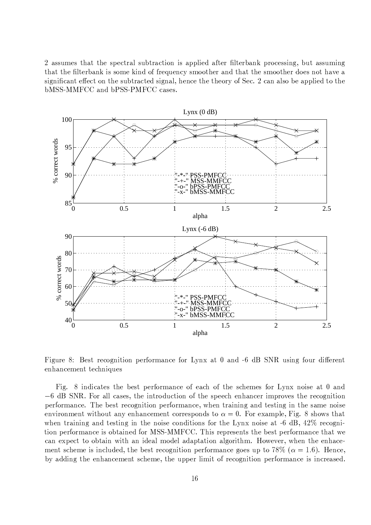2 assumes that the spectral subtraction is applied after filterbank processing, but assuming that the filterbank is some kind of frequency smoother and that the smoother does not have a significant effect on the subtracted signal, hence the theory of Sec. 2 can also be applied to the bMSS-MMFCC and bPSS-PMFCC cases.



Figure 8: Best recognition performance for Lynx at 0 and -6 dB SNR using four different enhancement techniques

Fig. 8 indicates the best performance of each of the schemes for Lynx noise at 0 and  $-6$  dB SNR. For all cases, the introduction of the speech enhancer improves the recognition performance. The best recognition performance, when training and testing in the same noise environment without any enhancement corresponds to  $\alpha = 0$ . For example, Fig. 8 shows that when training and testing in the noise conditions for the Lynx noise at  $-6$  dB,  $42\%$  recognition performance is obtained for MSS-MMFCC. This represents the best performance that we can expect to obtain with an ideal model adaptation algorithm. However, when the enhacement scheme is included, the best recognition performance goes up to 78\% ( $\alpha = 1.6$ ). Hence, by adding the enhancement scheme, the upper limit of recognition performance is increased.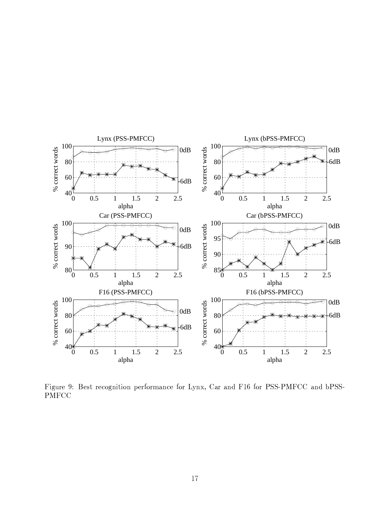

the settlement of the settlement of the settlement of the settlement of the settlement of the settlement of the settlement of the settlement of the settlement of the settlement of the settlement of the settlement of the se PMFCC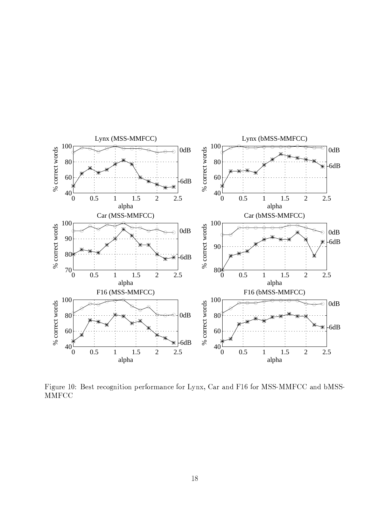

the set of the set of the set of the set of the set of the set of the set of the set of the set of the set of the set of the set of the set of the set of the set of the set of the set of the set of the set of the set of th MMFCC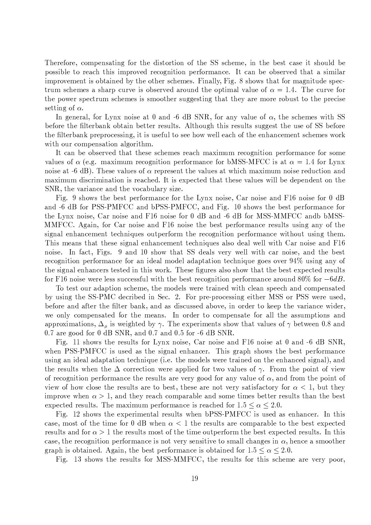Therefore, compensating for the distortion of the SS scheme, in the best case it should be possible to reach this improved recognition performance. It can be observed that a similar improvement is obtained by the other schemes. Finally, Fig. 8 shows that for magnitude spectrum schemes a sharp curve is observed around the optimal value of  $\alpha = 1.4$ . The curve for the power spectrum schemes is smoother suggesting that they are more robust to the precise setting of  $\alpha$ .

In general, for Lynx noise at 0 and -6 dB SNR, for any value of  $\alpha$ , the schemes with SS before the filterbank obtain better results. Although this results suggest the use of SS before the filterbank preprocessing, it is useful to see how well each of the enhancement schemes work with our compensation algorithm.

It can be observed that these schemes reach maximum recognition performance for some values of  $\alpha$  (e.g. maximum recognition performance for bMSS-MFCC is at  $\alpha = 1.4$  for Lynx noise at -6 dB). These values of  $\alpha$  represent the values at which maximum noise reduction and maximum discrimination is reached. It is expected that these values will be dependent on the SNR, the variance and the vocabulary size.

Fig. 9 shows the best performance for the Lynx noise, Car noise and F16 noise for 0 dB and -6 dB for PSS-PMFCC and bPSS-PMFCC, and Fig. 10 shows the best performance for the Lynx noise, Car noise and F16 noise for 0 dB and -6 dB for MSS-MMFCC andb bMSS-MMFCC. Again, for Car noise and F16 noise the best performance results using any of the signal enhancement techniques outperform the recognition performance without using them. This means that these signal enhancement techniques also deal well with Car noise and F16 noise. In fact, Figs. 9 and 10 show that SS deals very well with car noise, and the best recognition performance for an ideal model adaptation technique goes over 94% using any of the signal enhancers tested in this work. These figures also show that the best expected results for F16 noise were less successful with the best recognition performance around  $80\%$  for  $-6dB$ .

To test our adaption scheme, the models were trained with clean speech and compensated by using the SS-PMC decribed in Sec. 2. For pre-processing either MSS or PSS were used, before and after the filter bank, and as discussed above, in order to keep the variance wider, we only compensated for the means. In order to compensate for all the assumptions and approximations,  $\Delta_{\mu}$  is weighted by  $\gamma$ . The experiments show that values of  $\gamma$  between 0.8 and 0.7 are good for 0 dB SNR, and 0.7 and 0.5 for  $-6$  dB SNR.

Fig. 11 shows the results for Lynx noise, Car noise and F16 noise at 0 and -6 dB SNR, when PSS-PMFCC is used as the signal enhancer. This graph shows the best performance using an ideal adaptation technique (i.e. the models were trained on the enhanced signal), and the results when the  $\Delta$  correction were applied for two values of  $\gamma$ . From the point of view of recognition performance the results are very good for any value of  $\alpha$ , and from the point of view of how close the results are to best, these are not very satisfactory for  $\alpha < 1$ , but they improve when  $\alpha > 1$ , and they reach comparable and some times better results than the best expected results. The maximum performance is reached for  $1.5 \le \alpha \le 2.0$ .

Fig. 12 shows the experimental results when bPSS-PMFCC is used as enhancer. In this case, most of the time for 0 dB when  $\alpha < 1$  the results are comparable to the best expected results and for  $\alpha > 1$  the results most of the time outperform the best expected results. In this case, the recognition performance is not very sensitive to small changes in  $\alpha$ , hence a smoother graph is obtained. Again, the best performance is obtained for  $1.5 \le \alpha \le 2.0$ .

Fig. 13 shows the results for MSS-MMFCC, the results for this scheme are very poor,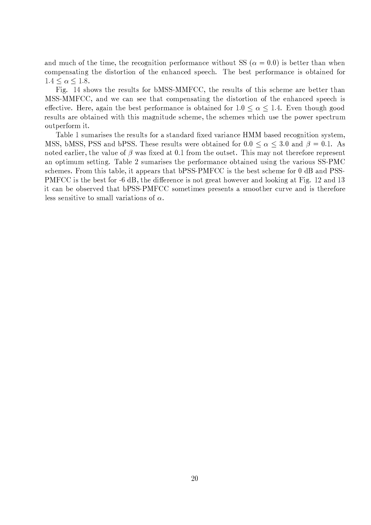and much of the time, the recognition performance without SS ( $\alpha = 0.0$ ) is better than when compensating the distortion of the enhanced speech. The best performance is obtained for  $1.4 \leq \alpha \leq 1.8$ .

Fig. 14 shows the results for bMSS-MMFCC, the results of this scheme are better than MSS-MMFCC, and we can see that compensating the distortion of the enhanced speech is effective. Here, again the best performance is obtained for  $1.0 \le \alpha \le 1.4$ . Even though good results are obtained with this magnitude scheme, the schemes which use the power spectrum outperform it.

Table 1 sumarises the results for a standard fixed variance HMM based recognition system, MSS, bMSS, PSS and bPSS. These results were obtained for  $0.0 \le \alpha \le 3.0$  and  $\beta = 0.1$ . As noted earlier, the value of  $\beta$  was fixed at 0.1 from the outset. This may not therefore represent an optimum setting. Table 2 sumarises the performance obtained using the various SS-PMC schemes. From this table, it appears that bPSS-PMFCC is the best scheme for 0 dB and PSS-PMFCC is the best for -6 dB, the difference is not great however and looking at Fig. 12 and 13 it can be observed that bPSS-PMFCC sometimes presents a smoother curve and is therefore less sensitive to small variations of  $\alpha$ .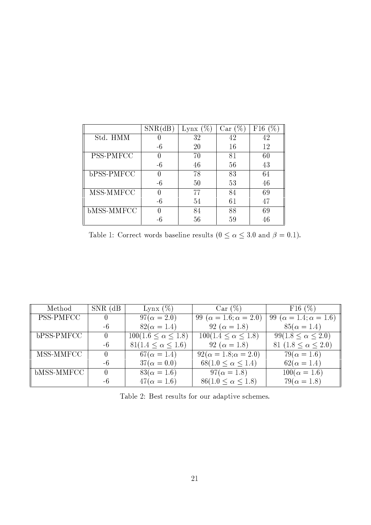|                   | <b>SNR</b> | %`<br>Lynx | $\%$ .<br>Car | F16 |
|-------------------|------------|------------|---------------|-----|
| Std. HMM          |            | 32         | 42            | 42  |
|                   | -6         | 20         | 16            | 12  |
| PSS-PMFCC         | 0          | 70         | 81            | 60  |
|                   | -6         | 46         | 56            | 43  |
| bPSS-PMFCC        | 0          | 78         | 83            | 64  |
|                   | -6         | 50         | 53            | 46  |
| MSS-MMFCC         | O          | 77         | 84            | 69  |
|                   | -6         | 54         | 61            | 47  |
| <b>bMSS-MMFCC</b> | O          | 84         | 88            | 69  |
|                   |            | 56         | 59            | 46  |

Table 1: Correct words baseline results ( $0 \le \alpha \le 3.0$  and  $\beta = 0.1$ ).

| Method           | $SNR$ (dB) | Lynx $(\%)$                   | Car (%)                             | F16(%)                              |
|------------------|------------|-------------------------------|-------------------------------------|-------------------------------------|
| <b>PSS-PMFCC</b> | $\theta$   | $97(\alpha = 2.0)$            | 99 ( $\alpha = 1.6; \alpha = 2.0$ ) | 99 ( $\alpha = 1.4; \alpha = 1.6$ ) |
|                  | -6         | $82(\alpha = 1.4)$            | 92 ( $\alpha = 1.8$ )               | $85(\alpha = 1.4)$                  |
| bPSS-PMFCC       | $\theta$   | $100(1.6 \le \alpha \le 1.8)$ | $100(1.4 \leq \alpha \leq 1.8)$     | $99(1.8 \le \alpha \le 2.0)$        |
|                  | -6         | $81(1.4 \le \alpha \le 1.6)$  | 92 ( $\alpha = 1.8$ )               | 81 (1.8 $\leq \alpha \leq 2.0$ )    |
| MSS-MMFCC        | $\Omega$   | $67(\alpha = 1.4)$            | $92(\alpha = 1.8; \alpha = 2.0)$    | $79(\alpha = 1.6)$                  |
|                  | $-6$       | $37(\alpha = 0.0)$            | $68(1.0 \le \alpha \le 1.4)$        | $62(\alpha = 1.4)$                  |
| $bMSS-MMFCC$     | 0          | $83(\alpha = 1.6)$            | $97(\alpha = 1.8)$                  | $100(\alpha = 1.6)$                 |
|                  | -6         | $47(\alpha = 1.6)$            | $86(1.0 \le \alpha \le 1.8)$        | $79(\alpha = 1.8)$                  |

Table 2: Best results for our adaptive schemes.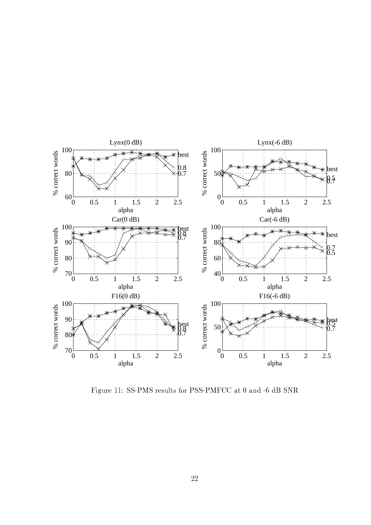

the successive of the United States of the Utilian Contract of the Utilian Contract of the Utilian Contract of the U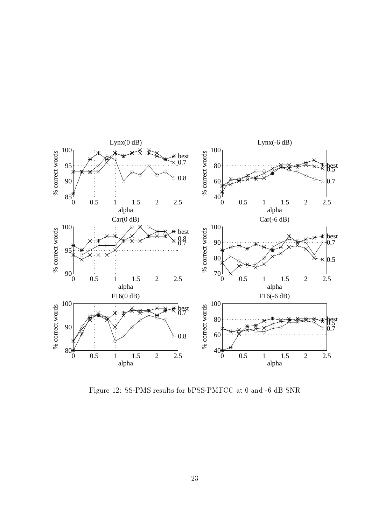

the second the state of the state of the state of the state of the state of the state of the state of the state of the state of the state of the state of the state of the state of the state of the state of the state of the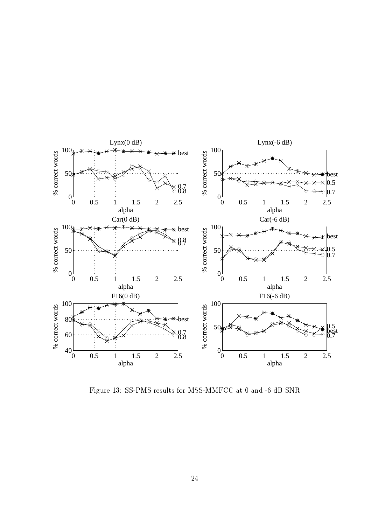

the annual communication of the state and the state of the state of the state of the state of the state of the state of the state of the state of the state of the state of the state of the state of the state of the state o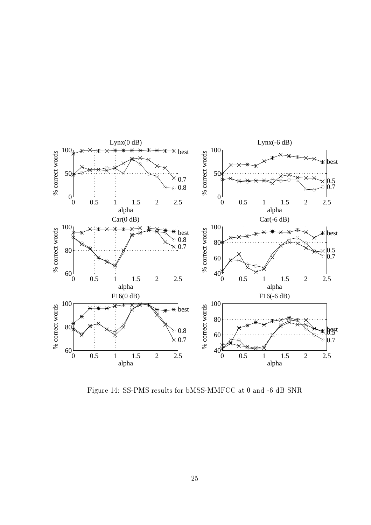

the second the second three controls of the second in the second in the second in the second in the second in the second in the second in the second in the second in the second in the second in the second in the second in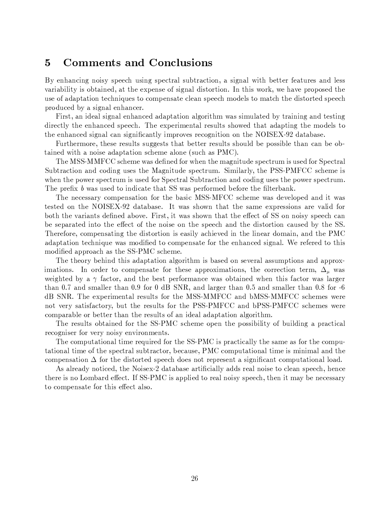#### $\overline{5}$ **Comments and Conclusions**

By enhancing noisy speech using spectral subtraction, a signal with better features and less variability is obtained, at the expense of signal distortion. In this work, we have proposed the use of adaptation techniques to compensate clean speech models to match the distorted speech produced by a signal enhancer.

First, an ideal signal enhanced adaptation algorithm was simulated by training and testing directly the enhanced speech. The experimental results showed that adapting the models to the enhanced signal can significantly improves recognition on the NOISEX-92 database.

Furthermore, these results suggests that better results should be possible than can be obtained with a noise adaptation scheme alone (such as PMC).

The MSS-MMFCC scheme was defined for when the magnitude spectrum is used for Spectral Subtraction and coding uses the Magnitude spectrum. Similarly, the PSS-PMFCC scheme is when the power spectrum is used for Spectral Subtraction and coding uses the power spectrum. The prefix b was used to indicate that SS was performed before the filterbank.

The necessary compensation for the basic MSS-MFCC scheme was developed and it was tested on the NOISEX-92 database. It was shown that the same expressions are valid for both the variants defined above. First, it was shown that the effect of SS on noisy speech can be separated into the effect of the noise on the speech and the distortion caused by the SS. Therefore, compensating the distortion is easily achieved in the linear domain, and the PMC adaptation technique was modified to compensate for the enhanced signal. We refered to this modified approach as the SS-PMC scheme.

The theory behind this adaptation algorithm is based on several assumptions and approximations. In order to compensate for these approximations, the correction term,  $\Delta_u$  was weighted by a  $\gamma$  factor, and the best performance was obtained when this factor was larger than 0.7 and smaller than 0.9 for 0 dB SNR, and larger than 0.5 and smaller than 0.8 for -6 dB SNR. The experimental results for the MSS-MMFCC and bMSS-MMFCC schemes were not very satisfactory, but the results for the PSS-PMFCC and bPSS-PMFCC schemes were comparable or better than the results of an ideal adaptation algorithm.

The results obtained for the SS-PMC scheme open the possibility of building a practical recogniser for very noisy environments.

The computational time required for the SS-PMC is practically the same as for the computational time of the spectral subtractor, because, PMC computational time is minimal and the compensation  $\Delta$  for the distorted speech does not represent a significant computational load.

As already noticed, the Noisex-2 database artificially adds real noise to clean speech, hence there is no Lombard effect. If SS-PMC is applied to real noisy speech, then it may be necessary to compensate for this effect also.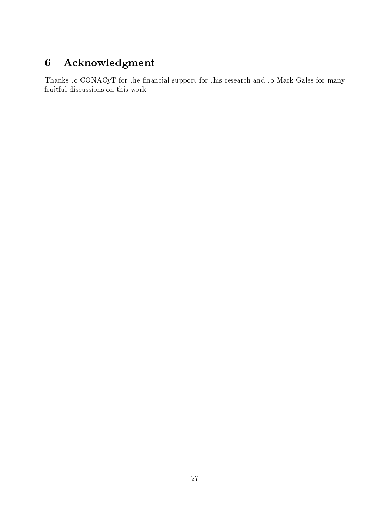## $\bf{6}$ Acknowledgment

Thanks to CONACyT for the financial support for this research and to Mark Gales for many fruitful discussions on this work.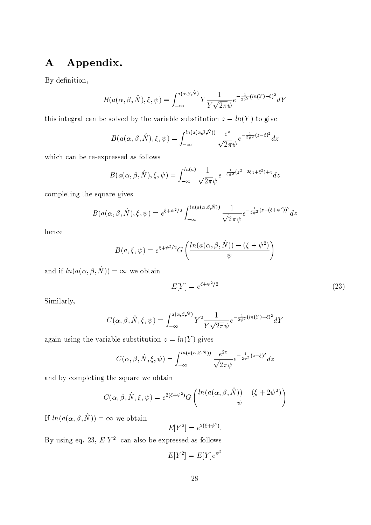### Appendix.  $\mathbf{A}$

By definition,

$$
B(a(\alpha,\beta,\hat{N}),\xi,\psi) = \int_{-\infty}^{a(\alpha,\beta,\hat{N})} Y \frac{1}{Y\sqrt{2\pi}\psi} e^{-\frac{1}{2\psi^2}(\ln(Y)-\xi)^2} dY
$$

this integral can be solved by the variable substitution  $z = ln(Y)$  to give

$$
B(a(\alpha,\beta,\hat{N}),\xi,\psi) = \int_{-\infty}^{\ln(a(\alpha,\beta,\hat{N}))} \frac{e^z}{\sqrt{2\pi}\psi} e^{-\frac{1}{2\psi^2}(z-\xi)^2} dz
$$

which can be re-expressed as follows

$$
B(a(\alpha,\beta,\hat{N}),\xi,\psi) = \int_{-\infty}^{ln(a)} \frac{1}{\sqrt{2\pi}\psi} e^{-\frac{1}{2\psi^2}(z^2 - 2\xi z + \xi^2) + z} dz
$$

completing the square gives

$$
B(a(\alpha, \beta, \hat{N}), \xi, \psi) = e^{\xi + \psi^2/2} \int_{-\infty}^{\ln(a(\alpha, \beta, \hat{N}))} \frac{1}{\sqrt{2\pi}\psi} e^{-\frac{1}{2\psi^2}(z - (\xi + \psi^2))^2} dz
$$

hence

$$
B(a,\xi,\psi) = e^{\xi + \psi^2/2} G\left(\frac{\ln(a(\alpha,\beta,\hat{N})) - (\xi + \psi^2)}{\psi}\right)
$$

and if  $ln(a(\alpha, \beta, \hat{N})) = \infty$  we obtain

$$
E[Y] = e^{\xi + \psi^2/2} \tag{23}
$$

Similarly,

$$
C(\alpha, \beta, \hat{N}, \xi, \psi) = \int_{-\infty}^{a(\alpha, \beta, \hat{N})} Y^2 \frac{1}{Y\sqrt{2\pi}\psi} e^{-\frac{1}{2\psi^2}(\ln(Y) - \xi)^2} dY
$$

again using the variable substitution  $z = ln(Y)$  gives

$$
C(\alpha, \beta, \hat{N}, \xi, \psi) = \int_{-\infty}^{\ln(a(\alpha, \beta, \hat{N}))} \frac{e^{2z}}{\sqrt{2\pi}\psi} e^{-\frac{1}{2\psi^2}(z-\xi)^2} dz
$$

and by completing the square we obtain

$$
C(\alpha, \beta, \hat{N}, \xi, \psi) = e^{2(\xi + \psi^2)} G\left(\frac{\ln(a(\alpha, \beta, \hat{N})) - (\xi + 2\psi^2)}{\psi}\right)
$$

If  $ln(a(\alpha, \beta, \hat{N})) = \infty$  we obtain

 $E[Y^2] = e^{2(\xi + \psi^2)}$ .

By using eq. 23,  $E[Y^2]$  can also be expressed as follows

$$
E[Y^2] = E[Y]e^{\psi^2}
$$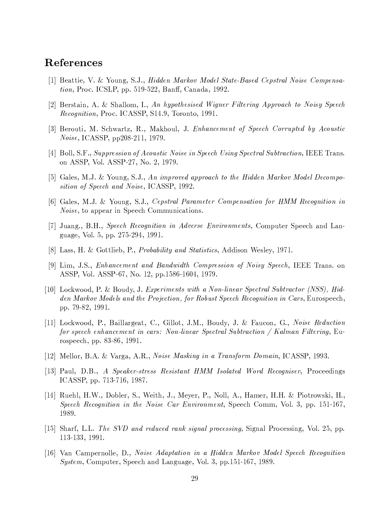# References

- [1] Beattie, V. & Young, S.J., Hidden Markov Model State-Based Cepstral Noise Compensa $tion$ , Proc. ICSLP, pp. 519-522, Banff, Canada, 1992.
- [2] Berstain, A. & Shallom, I., An hypothesised Wigner Filtering Approach to Noisy Speech *Recognition*, Proc. ICASSP, S14.9, Toronto, 1991.
- [3] Berouti, M. Schwartz, R., Makhoul, J. Enhancement of Speech Corrupted by Acoustic *Noise*, ICASSP, pp208-211, 1979.
- [4] Boll, S.F., Suppression of Acoustic Noise in Speech Using Spectral Subtraction, IEEE Trans. on ASSP, Vol. ASSP-27, No. 2, 1979.
- [5] Gales, M.J. & Young, S.J., An improved approach to the Hidden Markov Model Decomposition of Speech and Noise, ICASSP, 1992.
- [6] Gales, M.J. & Young, S.J., Cepstral Parameter Compensation for HMM Recognition in *Noise*, to appear in Speech Communications.
- [7] Juang., B.H., Speech Recognition in Adverse Environments, Computer Speech and Language, Vol. 5, pp. 275-294, 1991.
- [8] Lass, H. & Gottlieb, P., *Probability and Statistics*, Addison Wesley, 1971.
- [9] Lim, J.S., Enhancement and Bandwidth Compression of Noisy Speech, IEEE Trans. on ASSP, Vol. ASSP-67, No. 12, pp.1586-1604, 1979.
- [10] Lockwood, P. & Boudy, J. Experiments with a Non-linear Spectral Subtractor (NSS), Hidden Markov Models and the Projection, for Robust Speech Recognition in Cars, Eurospeech, pp. 79-82, 1991.
- [11] Lockwood, P., Baillargeat, C., Gillot, J.M., Boudy, J. & Faucon, G., Noise Reduction for speech enhancement in cars: Non-linear Spectral Subtraction / Kalman Filtering, Eurospeech, pp. 83-86, 1991.
- [12] Mellor, B.A. & Varga, A.R., *Noise Masking in a Transform Domain*, ICASSP, 1993.
- [13] Paul, D.B., A Speaker-stress Resistant HMM Isolated Word Recogniser, Proceedings ICASSP, pp. 713-716, 1987.
- [14] Ruehl, H.W., Dobler, S., Weith, J., Meyer, P., Noll, A., Hamer, H.H. & Piotrowski, H., Speech Recognition in the Noise Car Environment, Speech Comm, Vol. 3, pp. 151-167, 1989.
- [15] Sharf, L.L. The SVD and reduced rank signal processing, Signal Processing, Vol. 25, pp. 113-133, 1991.
- [16] Van Campernolle, D., Noise Adaptation in a Hidden Markov Model Speech Recognition *System*, Computer, Speech and Language, Vol. 3, pp.151-167, 1989.